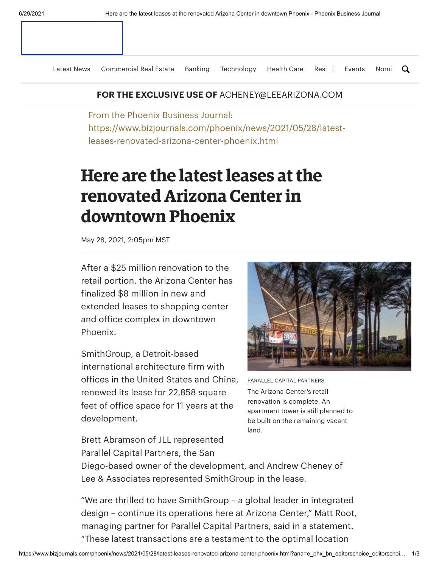[Latest](https://www.bizjournals.com/phoenix/news) News [Commercial](https://www.bizjournals.com/phoenix/news/commercial-real-estate) Real Estate [Banking](https://www.bizjournals.com/phoenix/news/banking-and-financial-services) [Technology](https://www.bizjournals.com/phoenix/news/technology) [Health](https://www.bizjournals.com/phoenix/news/health-care) Care [Resi](https://www.bizjournals.com/phoenix/news/residential-real-estate) | [Events](https://www.bizjournals.com/phoenix/event) [Nomi](https://www.bizjournals.com/phoenix/nomination) Q

## **FOR THE EXCLUSIVE USE OF** ACHENEY@LEEARIZONA.COM

From the Phoenix Business Journal: https://www.bizjournals.com/phoenix/news/2021/05/28/latestleases-renovated-arizona-center-phoenix.html

## **Here are the latestleases atthe renovated Arizona Center in downtown Phoenix**

May 28, 2021, 2:05pm MST

After a \$25 million renovation to the retail portion, the Arizona Center has finalized \$8 million in new and extended leases to shopping center and office complex in downtown Phoenix.

SmithGroup, a Detroit-based international architecture firm with offices in the United States and China, renewed its lease for 22,858 square feet of office space for 11 years at the development.



PARALLEL CAPITAL PARTNERS The Arizona Center's retail renovation is complete. An apartment tower is still planned to be built on the remaining vacant land.

Brett Abramson of JLL represented Parallel Capital Partners, the San

Diego-based owner of the development, and Andrew Cheney of Lee & Associates represented SmithGroup in the lease.

"We are thrilled to have SmithGroup – a global leader in integrated design – continue its operations here at Arizona Center," Matt Root, managing partner for Parallel Capital Partners, said in a statement. "These latest transactions are a testament to the optimal location